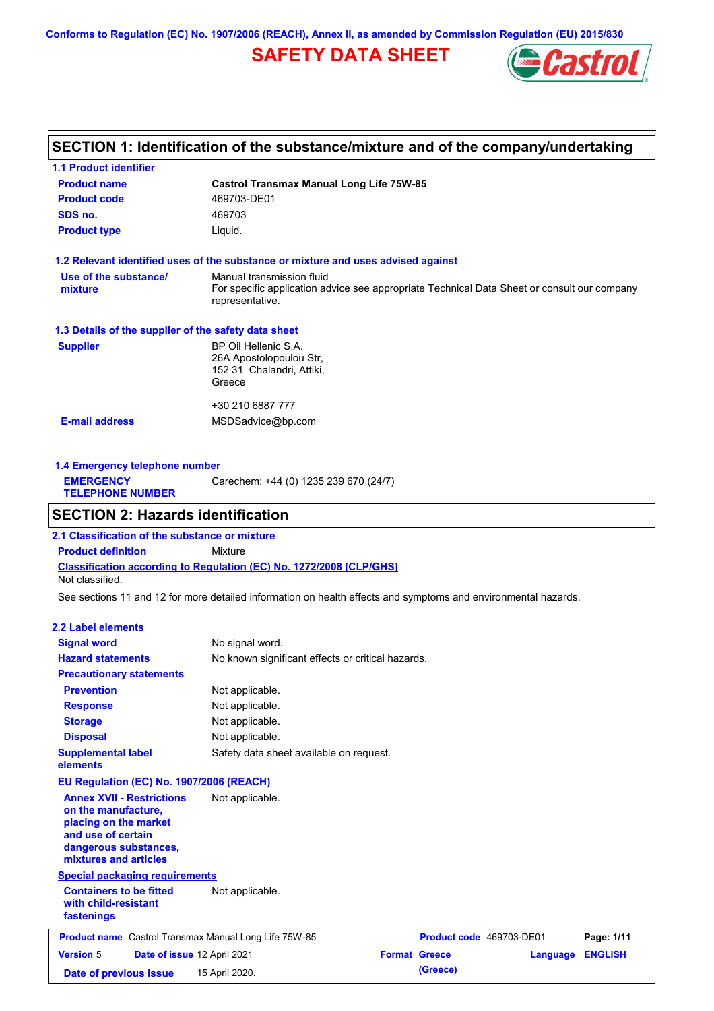**Conforms to Regulation (EC) No. 1907/2006 (REACH), Annex II, as amended by Commission Regulation (EU) 2015/830**

## **SAFETY DATA SHEET**



## **SECTION 1: Identification of the substance/mixture and of the company/undertaking**

| <b>1.1 Product identifier</b>                        |                                                                                                                                             |
|------------------------------------------------------|---------------------------------------------------------------------------------------------------------------------------------------------|
| <b>Product name</b>                                  | <b>Castrol Transmax Manual Long Life 75W-85</b>                                                                                             |
| <b>Product code</b>                                  | 469703-DE01                                                                                                                                 |
| SDS no.                                              | 469703                                                                                                                                      |
| <b>Product type</b>                                  | Liquid.                                                                                                                                     |
|                                                      | 1.2 Relevant identified uses of the substance or mixture and uses advised against                                                           |
| Use of the substance/<br>mixture                     | Manual transmission fluid<br>For specific application advice see appropriate Technical Data Sheet or consult our company<br>representative. |
| 1.3 Details of the supplier of the safety data sheet |                                                                                                                                             |
| <b>Supplier</b>                                      | BP Oil Hellenic S.A.<br>26A Apostolopoulou Str,<br>152 31 Chalandri, Attiki,<br>Greece                                                      |
|                                                      | +30 210 6887 777                                                                                                                            |
| <b>E-mail address</b>                                | MSDSadvice@bp.com                                                                                                                           |
|                                                      |                                                                                                                                             |

| 1.4 Emergency telephone number              |                                       |  |  |
|---------------------------------------------|---------------------------------------|--|--|
| <b>EMERGENCY</b><br><b>TELEPHONE NUMBER</b> | Carechem: +44 (0) 1235 239 670 (24/7) |  |  |
|                                             |                                       |  |  |

## **SECTION 2: Hazards identification**

**Classification according to Regulation (EC) No. 1272/2008 [CLP/GHS] 2.1 Classification of the substance or mixture Product definition** Mixture Not classified.

See sections 11 and 12 for more detailed information on health effects and symptoms and environmental hazards.

#### **2.2 Label elements**

| <b>Signal word</b>                                                                                                                                       | No signal word.                                   |                      |                          |          |                |
|----------------------------------------------------------------------------------------------------------------------------------------------------------|---------------------------------------------------|----------------------|--------------------------|----------|----------------|
| <b>Hazard statements</b>                                                                                                                                 | No known significant effects or critical hazards. |                      |                          |          |                |
| <b>Precautionary statements</b>                                                                                                                          |                                                   |                      |                          |          |                |
| <b>Prevention</b>                                                                                                                                        | Not applicable.                                   |                      |                          |          |                |
| <b>Response</b>                                                                                                                                          | Not applicable.                                   |                      |                          |          |                |
| <b>Storage</b>                                                                                                                                           | Not applicable.                                   |                      |                          |          |                |
| <b>Disposal</b>                                                                                                                                          | Not applicable.                                   |                      |                          |          |                |
| <b>Supplemental label</b><br>elements                                                                                                                    | Safety data sheet available on request.           |                      |                          |          |                |
| EU Regulation (EC) No. 1907/2006 (REACH)                                                                                                                 |                                                   |                      |                          |          |                |
| <b>Annex XVII - Restrictions</b><br>on the manufacture,<br>placing on the market<br>and use of certain<br>dangerous substances,<br>mixtures and articles | Not applicable.                                   |                      |                          |          |                |
| <b>Special packaging requirements</b>                                                                                                                    |                                                   |                      |                          |          |                |
| <b>Containers to be fitted</b><br>with child-resistant<br>fastenings                                                                                     | Not applicable.                                   |                      |                          |          |                |
| <b>Product name</b> Castrol Transmax Manual Long Life 75W-85                                                                                             |                                                   |                      | Product code 469703-DE01 |          | Page: 1/11     |
|                                                                                                                                                          |                                                   |                      |                          |          |                |
| <b>Version 5</b>                                                                                                                                         | Date of issue 12 April 2021                       | <b>Format Greece</b> |                          | Language | <b>ENGLISH</b> |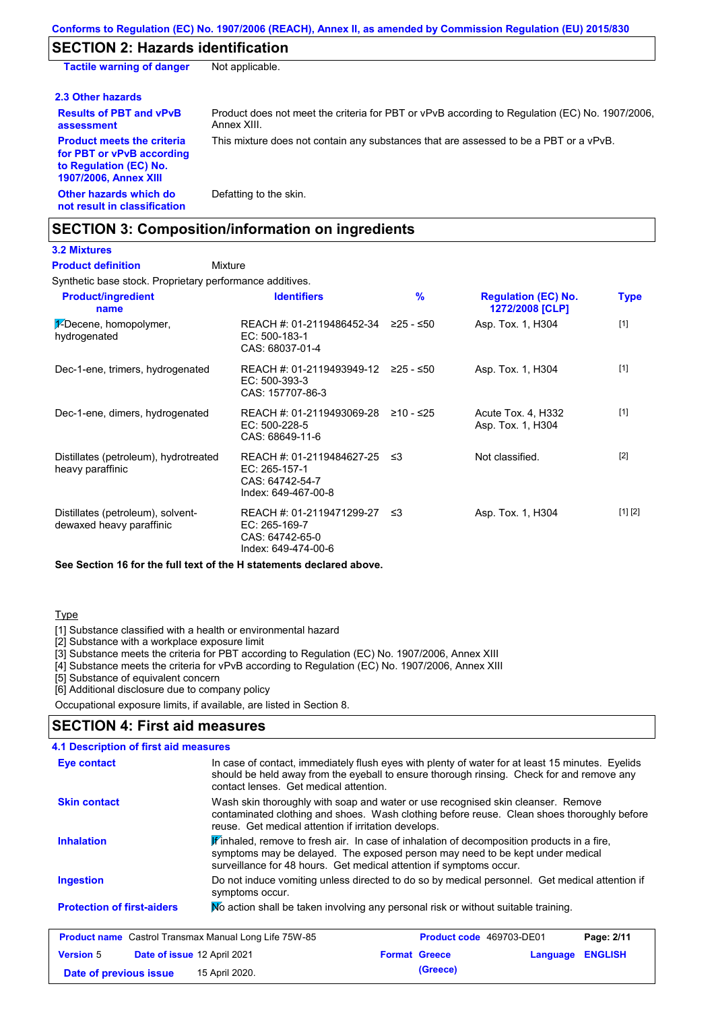## **SECTION 2: Hazards identification**

| <b>Tactile warning of danger</b>                                                                                         | Not applicable.                                                                                               |
|--------------------------------------------------------------------------------------------------------------------------|---------------------------------------------------------------------------------------------------------------|
| 2.3 Other hazards                                                                                                        |                                                                                                               |
| <b>Results of PBT and vPvB</b><br>assessment                                                                             | Product does not meet the criteria for PBT or vPvB according to Regulation (EC) No. 1907/2006,<br>Annex XIII. |
| <b>Product meets the criteria</b><br>for PBT or vPvB according<br>to Regulation (EC) No.<br><b>1907/2006, Annex XIII</b> | This mixture does not contain any substances that are assessed to be a PBT or a vPvB.                         |
| Other hazards which do<br>not result in classification                                                                   | Defatting to the skin.                                                                                        |

## **SECTION 3: Composition/information on ingredients**

## **3.2 Mixtures**

Mixture **Product definition**

Synthetic base stock. Proprietary performance additives.

| <b>Product/ingredient</b><br>name                             | <b>Identifiers</b>                                                                   | $\frac{9}{6}$ | <b>Regulation (EC) No.</b><br>1272/2008 [CLP] | <b>Type</b> |
|---------------------------------------------------------------|--------------------------------------------------------------------------------------|---------------|-----------------------------------------------|-------------|
| 1-Decene, homopolymer,<br>hydrogenated                        | REACH #: 01-2119486452-34<br>EC: 500-183-1<br>CAS: 68037-01-4                        | $≥25 - ≤50$   | Asp. Tox. 1, H304                             | $[1]$       |
| Dec-1-ene, trimers, hydrogenated                              | REACH #: 01-2119493949-12 ≥25 - ≤50<br>$EC: 500-393-3$<br>CAS: 157707-86-3           |               | Asp. Tox. 1, H304                             | $[1]$       |
| Dec-1-ene, dimers, hydrogenated                               | REACH #: 01-2119493069-28<br>$EC: 500-228-5$<br>CAS: 68649-11-6                      | ≥10 - ≤25     | Acute Tox. 4, H332<br>Asp. Tox. 1, H304       | $[1]$       |
| Distillates (petroleum), hydrotreated<br>heavy paraffinic     | REACH #: 01-2119484627-25<br>EC: 265-157-1<br>CAS: 64742-54-7<br>Index: 649-467-00-8 | ב≥            | Not classified.                               | $[2]$       |
| Distillates (petroleum), solvent-<br>dewaxed heavy paraffinic | REACH #: 01-2119471299-27<br>EC: 265-169-7<br>CAS: 64742-65-0<br>Index: 649-474-00-6 | ≲3            | Asp. Tox. 1, H304                             | [1] [2]     |

**See Section 16 for the full text of the H statements declared above.**

#### **Type**

[1] Substance classified with a health or environmental hazard

[2] Substance with a workplace exposure limit

[3] Substance meets the criteria for PBT according to Regulation (EC) No. 1907/2006, Annex XIII

[4] Substance meets the criteria for vPvB according to Regulation (EC) No. 1907/2006, Annex XIII

**Date of previous issue (Greece)** 15 April 2020.

[5] Substance of equivalent concern

[6] Additional disclosure due to company policy

Occupational exposure limits, if available, are listed in Section 8.

### **SECTION 4: First aid measures**

| 4.1 Description of first aid measures                                                                                                                                                                                                                  |                                                                                                                                                                                                                                                               |                                                                                                                                                                                                                                        |          |                |  |
|--------------------------------------------------------------------------------------------------------------------------------------------------------------------------------------------------------------------------------------------------------|---------------------------------------------------------------------------------------------------------------------------------------------------------------------------------------------------------------------------------------------------------------|----------------------------------------------------------------------------------------------------------------------------------------------------------------------------------------------------------------------------------------|----------|----------------|--|
| In case of contact, immediately flush eyes with plenty of water for at least 15 minutes. Eyelids<br>Eye contact<br>should be held away from the eyeball to ensure thorough rinsing. Check for and remove any<br>contact lenses. Get medical attention. |                                                                                                                                                                                                                                                               |                                                                                                                                                                                                                                        |          |                |  |
| <b>Skin contact</b>                                                                                                                                                                                                                                    |                                                                                                                                                                                                                                                               | Wash skin thoroughly with soap and water or use recognised skin cleanser. Remove<br>contaminated clothing and shoes. Wash clothing before reuse. Clean shoes thoroughly before<br>reuse. Get medical attention if irritation develops. |          |                |  |
| <b>Inhalation</b>                                                                                                                                                                                                                                      | $\mathbf{F}$ inhaled, remove to fresh air. In case of inhalation of decomposition products in a fire,<br>symptoms may be delayed. The exposed person may need to be kept under medical<br>surveillance for 48 hours. Get medical attention if symptoms occur. |                                                                                                                                                                                                                                        |          |                |  |
| <b>Ingestion</b>                                                                                                                                                                                                                                       | symptoms occur.                                                                                                                                                                                                                                               | Do not induce vomiting unless directed to do so by medical personnel. Get medical attention if                                                                                                                                         |          |                |  |
| <b>Protection of first-aiders</b>                                                                                                                                                                                                                      |                                                                                                                                                                                                                                                               | No action shall be taken involving any personal risk or without suitable training.                                                                                                                                                     |          |                |  |
| <b>Product name</b> Castrol Transmax Manual Long Life 75W-85                                                                                                                                                                                           |                                                                                                                                                                                                                                                               | <b>Product code</b> 469703-DE01                                                                                                                                                                                                        |          | Page: 2/11     |  |
| <b>Version 5</b><br>Date of issue 12 April 2021                                                                                                                                                                                                        |                                                                                                                                                                                                                                                               | <b>Format Greece</b>                                                                                                                                                                                                                   | Language | <b>ENGLISH</b> |  |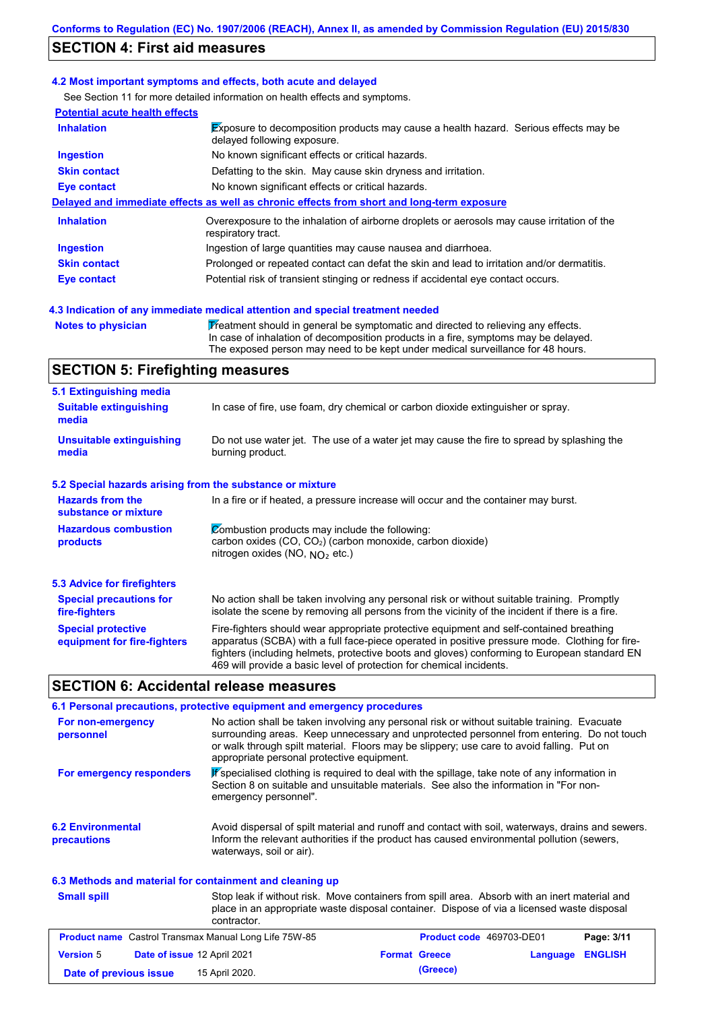## **SECTION 4: First aid measures**

#### **4.2 Most important symptoms and effects, both acute and delayed**

See Section 11 for more detailed information on health effects and symptoms.

| <b>Potential acute health effects</b> |                                                                                                                            |
|---------------------------------------|----------------------------------------------------------------------------------------------------------------------------|
| <b>Inhalation</b>                     | <b>Exposure to decomposition products may cause a health hazard. Serious effects may be</b><br>delayed following exposure. |
| <b>Ingestion</b>                      | No known significant effects or critical hazards.                                                                          |
| <b>Skin contact</b>                   | Defatting to the skin. May cause skin dryness and irritation.                                                              |
| Eye contact                           | No known significant effects or critical hazards.                                                                          |
|                                       | Delayed and immediate effects as well as chronic effects from short and long-term exposure                                 |
| <b>Inhalation</b>                     | Overexposure to the inhalation of airborne droplets or aerosols may cause irritation of the<br>respiratory tract.          |
| <b>Ingestion</b>                      | Ingestion of large quantities may cause nausea and diarrhoea.                                                              |
| <b>Skin contact</b>                   | Prolonged or repeated contact can defat the skin and lead to irritation and/or dermatitis.                                 |
| Eye contact                           | Potential risk of transient stinging or redness if accidental eye contact occurs.                                          |
|                                       |                                                                                                                            |

#### **4.3 Indication of any immediate medical attention and special treatment needed**

**Notes to physician Theatment should in general be symptomatic and directed to relieving any effects.** In case of inhalation of decomposition products in a fire, symptoms may be delayed. The exposed person may need to be kept under medical surveillance for 48 hours.

## **SECTION 5: Firefighting measures**

| 5.1 Extinguishing media                                                                                                                                                                                                                                                                                                                                                                                                       |                                                                                                                                                                                                |  |  |
|-------------------------------------------------------------------------------------------------------------------------------------------------------------------------------------------------------------------------------------------------------------------------------------------------------------------------------------------------------------------------------------------------------------------------------|------------------------------------------------------------------------------------------------------------------------------------------------------------------------------------------------|--|--|
| <b>Suitable extinguishing</b><br>media                                                                                                                                                                                                                                                                                                                                                                                        | In case of fire, use foam, dry chemical or carbon dioxide extinguisher or spray.                                                                                                               |  |  |
| <b>Unsuitable extinguishing</b><br>media                                                                                                                                                                                                                                                                                                                                                                                      | Do not use water jet. The use of a water jet may cause the fire to spread by splashing the<br>burning product.                                                                                 |  |  |
| 5.2 Special hazards arising from the substance or mixture                                                                                                                                                                                                                                                                                                                                                                     |                                                                                                                                                                                                |  |  |
| <b>Hazards from the</b><br>In a fire or if heated, a pressure increase will occur and the container may burst.<br>substance or mixture                                                                                                                                                                                                                                                                                        |                                                                                                                                                                                                |  |  |
| Combustion products may include the following:<br><b>Hazardous combustion</b><br>carbon oxides $(CO, CO2)$ (carbon monoxide, carbon dioxide)<br>products<br>nitrogen oxides (NO, $NO2$ etc.)                                                                                                                                                                                                                                  |                                                                                                                                                                                                |  |  |
| 5.3 Advice for firefighters                                                                                                                                                                                                                                                                                                                                                                                                   |                                                                                                                                                                                                |  |  |
| <b>Special precautions for</b><br>fire-fighters                                                                                                                                                                                                                                                                                                                                                                               | No action shall be taken involving any personal risk or without suitable training. Promptly<br>isolate the scene by removing all persons from the vicinity of the incident if there is a fire. |  |  |
| Fire-fighters should wear appropriate protective equipment and self-contained breathing<br><b>Special protective</b><br>apparatus (SCBA) with a full face-piece operated in positive pressure mode. Clothing for fire-<br>equipment for fire-fighters<br>fighters (including helmets, protective boots and gloves) conforming to European standard EN<br>469 will provide a basic level of protection for chemical incidents. |                                                                                                                                                                                                |  |  |

### **SECTION 6: Accidental release measures**

|                                                           | 6.1 Personal precautions, protective equipment and emergency procedures                                                                                                                                                                                                                                                             |  |  |
|-----------------------------------------------------------|-------------------------------------------------------------------------------------------------------------------------------------------------------------------------------------------------------------------------------------------------------------------------------------------------------------------------------------|--|--|
| For non-emergency<br>personnel                            | No action shall be taken involving any personal risk or without suitable training. Evacuate<br>surrounding areas. Keep unnecessary and unprotected personnel from entering. Do not touch<br>or walk through spilt material. Floors may be slippery; use care to avoid falling. Put on<br>appropriate personal protective equipment. |  |  |
| For emergency responders                                  | <b>P</b> specialised clothing is required to deal with the spillage, take note of any information in<br>Section 8 on suitable and unsuitable materials. See also the information in "For non-<br>emergency personnel".                                                                                                              |  |  |
| <b>6.2 Environmental</b><br>precautions                   | Avoid dispersal of spilt material and runoff and contact with soil, waterways, drains and sewers.<br>Inform the relevant authorities if the product has caused environmental pollution (sewers,<br>waterways, soil or air).                                                                                                         |  |  |
| 6.3 Methods and material for containment and cleaning up  |                                                                                                                                                                                                                                                                                                                                     |  |  |
| <b>Small spill</b>                                        | Stop leak if without risk. Move containers from spill area. Absorb with an inert material and<br>place in an appropriate waste disposal container. Dispose of via a licensed waste disposal<br>contractor.                                                                                                                          |  |  |
| Busilist nome. Control Transmout Monitor Line Life 7FM OF | <b>Best 8144</b><br>Busilist sails, 100700 BE01                                                                                                                                                                                                                                                                                     |  |  |

|                        | <b>Product name</b> Castrol Transmax Manual Long Life 75W-85 | Product code 469703-DE01 |                  | Page: 3/11 |
|------------------------|--------------------------------------------------------------|--------------------------|------------------|------------|
| <b>Version 5</b>       | <b>Date of issue 12 April 2021</b>                           | <b>Format Greece</b>     | Language ENGLISH |            |
| Date of previous issue | 15 April 2020.                                               | (Greece)                 |                  |            |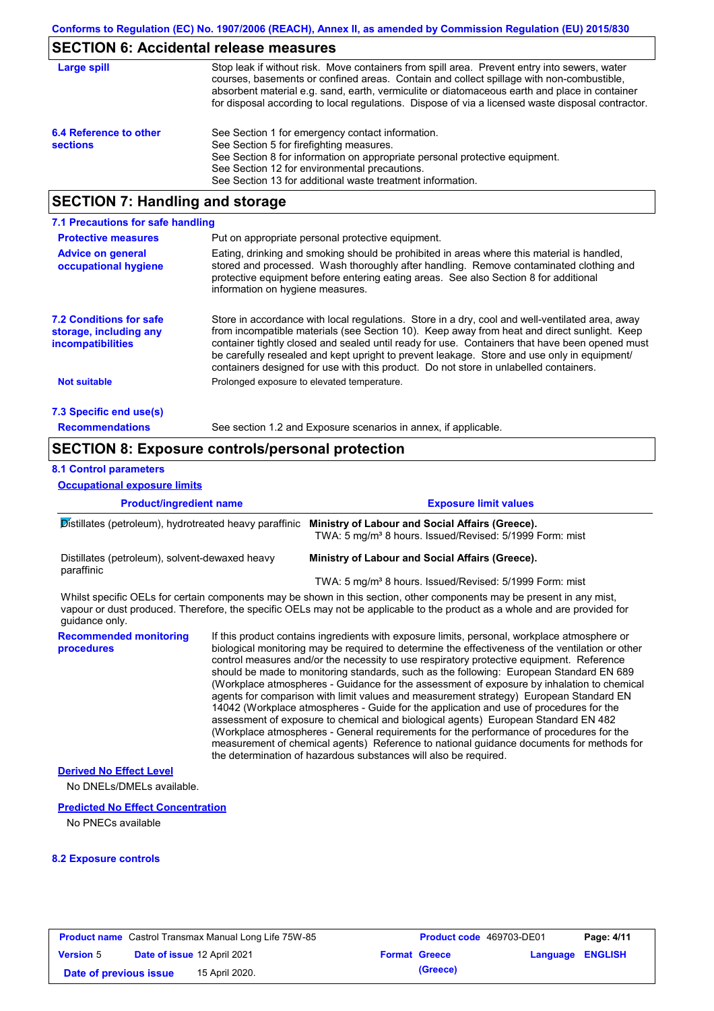## **SECTION 6: Accidental release measures**

| Large spill                               | Stop leak if without risk. Move containers from spill area. Prevent entry into sewers, water<br>courses, basements or confined areas. Contain and collect spillage with non-combustible,<br>absorbent material e.g. sand, earth, vermiculite or diatomaceous earth and place in container<br>for disposal according to local regulations. Dispose of via a licensed waste disposal contractor. |
|-------------------------------------------|------------------------------------------------------------------------------------------------------------------------------------------------------------------------------------------------------------------------------------------------------------------------------------------------------------------------------------------------------------------------------------------------|
| 6.4 Reference to other<br><b>sections</b> | See Section 1 for emergency contact information.<br>See Section 5 for firefighting measures.<br>See Section 8 for information on appropriate personal protective equipment.<br>See Section 12 for environmental precautions.<br>See Section 13 for additional waste treatment information.                                                                                                     |

## **SECTION 7: Handling and storage**

| 7.1 Precautions for safe handling                                                    |                                                                                                                                                                                                                                                                                                                                                                                                                                                                                          |  |  |  |
|--------------------------------------------------------------------------------------|------------------------------------------------------------------------------------------------------------------------------------------------------------------------------------------------------------------------------------------------------------------------------------------------------------------------------------------------------------------------------------------------------------------------------------------------------------------------------------------|--|--|--|
| <b>Protective measures</b><br>Put on appropriate personal protective equipment.      |                                                                                                                                                                                                                                                                                                                                                                                                                                                                                          |  |  |  |
| <b>Advice on general</b><br>occupational hygiene                                     | Eating, drinking and smoking should be prohibited in areas where this material is handled.<br>stored and processed. Wash thoroughly after handling. Remove contaminated clothing and<br>protective equipment before entering eating areas. See also Section 8 for additional<br>information on hygiene measures.                                                                                                                                                                         |  |  |  |
| <b>7.2 Conditions for safe</b><br>storage, including any<br><i>incompatibilities</i> | Store in accordance with local requiations. Store in a dry, cool and well-ventilated area, away<br>from incompatible materials (see Section 10). Keep away from heat and direct sunlight. Keep<br>container tightly closed and sealed until ready for use. Containers that have been opened must<br>be carefully resealed and kept upright to prevent leakage. Store and use only in equipment/<br>containers designed for use with this product. Do not store in unlabelled containers. |  |  |  |
| <b>Not suitable</b>                                                                  | Prolonged exposure to elevated temperature.                                                                                                                                                                                                                                                                                                                                                                                                                                              |  |  |  |
| 7.3 Specific end use(s)                                                              |                                                                                                                                                                                                                                                                                                                                                                                                                                                                                          |  |  |  |
| <b>Recommendations</b>                                                               | See section 1.2 and Exposure scenarios in annex, if applicable.                                                                                                                                                                                                                                                                                                                                                                                                                          |  |  |  |

### **SECTION 8: Exposure controls/personal protection**

#### **8.1 Control parameters**

**Occupational exposure limits**

| <b>Product/ingredient name</b>                               |  | <b>Exposure limit values</b>                                                                                                                                                                                                                         |  |  |
|--------------------------------------------------------------|--|------------------------------------------------------------------------------------------------------------------------------------------------------------------------------------------------------------------------------------------------------|--|--|
| Distillates (petroleum), hydrotreated heavy paraffinic       |  | Ministry of Labour and Social Affairs (Greece).<br>TWA: 5 mg/m <sup>3</sup> 8 hours. Issued/Revised: 5/1999 Form: mist                                                                                                                               |  |  |
| Distillates (petroleum), solvent-dewaxed heavy<br>paraffinic |  | Ministry of Labour and Social Affairs (Greece).                                                                                                                                                                                                      |  |  |
|                                                              |  | TWA: 5 mg/m <sup>3</sup> 8 hours. Issued/Revised: 5/1999 Form: mist                                                                                                                                                                                  |  |  |
| guidance only.                                               |  | Whilst specific OELs for certain components may be shown in this section, other components may be present in any mist,<br>vapour or dust produced. Therefore, the specific OELs may not be applicable to the product as a whole and are provided for |  |  |
| <b>Recommended monitoring</b><br>procedures                  |  | If this product contains ingredients with exposure limits, personal, workplace atmosphere or<br>biological monitoring may be required to determine the effectiveness of the ventilation or other                                                     |  |  |

monitoring may be required to determine the effectiveness of the ventilation or other control measures and/or the necessity to use respiratory protective equipment. Reference should be made to monitoring standards, such as the following: European Standard EN 689 (Workplace atmospheres - Guidance for the assessment of exposure by inhalation to chemical agents for comparison with limit values and measurement strategy) European Standard EN 14042 (Workplace atmospheres - Guide for the application and use of procedures for the assessment of exposure to chemical and biological agents) European Standard EN 482 (Workplace atmospheres - General requirements for the performance of procedures for the measurement of chemical agents) Reference to national guidance documents for methods for the determination of hazardous substances will also be required.

#### **Derived No Effect Level**

No DNELs/DMELs available.

#### **Predicted No Effect Concentration**

No PNECs available

#### **8.2 Exposure controls**

|                        | <b>Product name</b> Castrol Transmax Manual Long Life 75W-85 | <b>Product code</b> 469703-DE01 |                         | Page: 4/11 |
|------------------------|--------------------------------------------------------------|---------------------------------|-------------------------|------------|
| <b>Version 5</b>       | Date of issue 12 April 2021                                  | <b>Format Greece</b>            | <b>Language ENGLISH</b> |            |
| Date of previous issue | 15 April 2020.                                               | (Greece)                        |                         |            |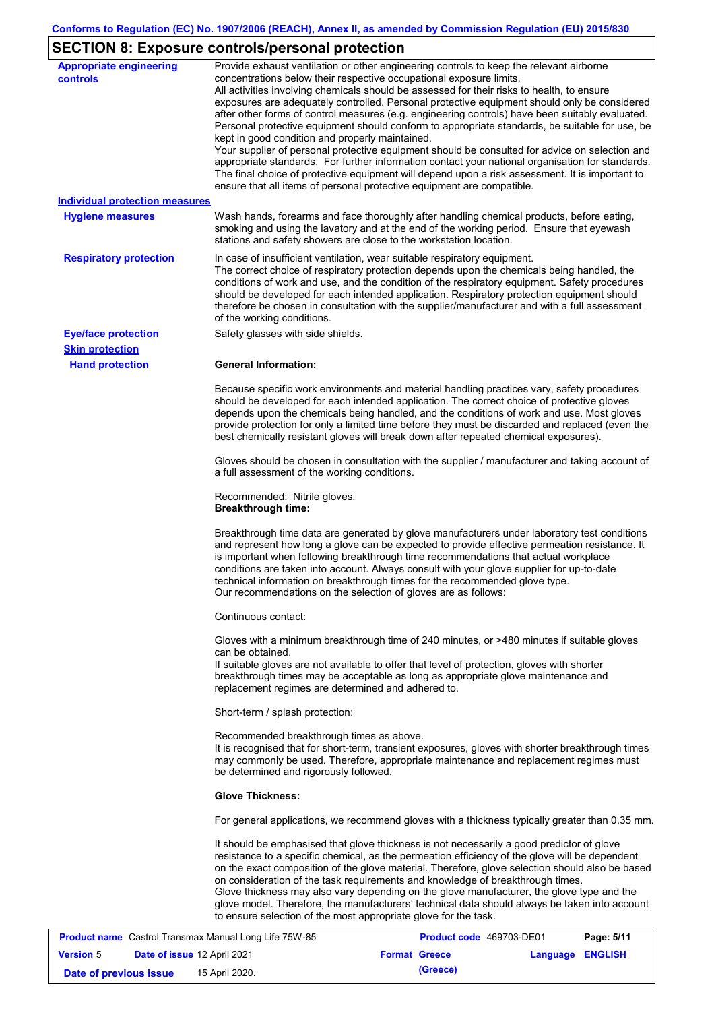# **SECTION 8: Exposure controls/personal protection**

| <b>Appropriate engineering</b>        | Provide exhaust ventilation or other engineering controls to keep the relevant airborne           |
|---------------------------------------|---------------------------------------------------------------------------------------------------|
| controls                              | concentrations below their respective occupational exposure limits.                               |
|                                       | All activities involving chemicals should be assessed for their risks to health, to ensure        |
|                                       | exposures are adequately controlled. Personal protective equipment should only be considered      |
|                                       | after other forms of control measures (e.g. engineering controls) have been suitably evaluated.   |
|                                       | Personal protective equipment should conform to appropriate standards, be suitable for use, be    |
|                                       | kept in good condition and properly maintained.                                                   |
|                                       | Your supplier of personal protective equipment should be consulted for advice on selection and    |
|                                       | appropriate standards. For further information contact your national organisation for standards.  |
|                                       | The final choice of protective equipment will depend upon a risk assessment. It is important to   |
|                                       | ensure that all items of personal protective equipment are compatible.                            |
| <b>Individual protection measures</b> |                                                                                                   |
|                                       |                                                                                                   |
| <b>Hygiene measures</b>               | Wash hands, forearms and face thoroughly after handling chemical products, before eating,         |
|                                       | smoking and using the lavatory and at the end of the working period. Ensure that eyewash          |
|                                       | stations and safety showers are close to the workstation location.                                |
| <b>Respiratory protection</b>         | In case of insufficient ventilation, wear suitable respiratory equipment.                         |
|                                       | The correct choice of respiratory protection depends upon the chemicals being handled, the        |
|                                       | conditions of work and use, and the condition of the respiratory equipment. Safety procedures     |
|                                       |                                                                                                   |
|                                       | should be developed for each intended application. Respiratory protection equipment should        |
|                                       | therefore be chosen in consultation with the supplier/manufacturer and with a full assessment     |
|                                       | of the working conditions.                                                                        |
| <b>Eye/face protection</b>            | Safety glasses with side shields.                                                                 |
| <b>Skin protection</b>                |                                                                                                   |
| <b>Hand protection</b>                | <b>General Information:</b>                                                                       |
|                                       |                                                                                                   |
|                                       | Because specific work environments and material handling practices vary, safety procedures        |
|                                       | should be developed for each intended application. The correct choice of protective gloves        |
|                                       | depends upon the chemicals being handled, and the conditions of work and use. Most gloves         |
|                                       | provide protection for only a limited time before they must be discarded and replaced (even the   |
|                                       | best chemically resistant gloves will break down after repeated chemical exposures).              |
|                                       |                                                                                                   |
|                                       | Gloves should be chosen in consultation with the supplier / manufacturer and taking account of    |
|                                       | a full assessment of the working conditions.                                                      |
|                                       |                                                                                                   |
|                                       | Recommended: Nitrile gloves.                                                                      |
|                                       | <b>Breakthrough time:</b>                                                                         |
|                                       |                                                                                                   |
|                                       | Breakthrough time data are generated by glove manufacturers under laboratory test conditions      |
|                                       | and represent how long a glove can be expected to provide effective permeation resistance. It     |
|                                       | is important when following breakthrough time recommendations that actual workplace               |
|                                       | conditions are taken into account. Always consult with your glove supplier for up-to-date         |
|                                       |                                                                                                   |
|                                       | technical information on breakthrough times for the recommended glove type.                       |
|                                       | Our recommendations on the selection of gloves are as follows:                                    |
|                                       | Continuous contact:                                                                               |
|                                       |                                                                                                   |
|                                       | Gloves with a minimum breakthrough time of 240 minutes, or >480 minutes if suitable gloves        |
|                                       | can be obtained.                                                                                  |
|                                       | If suitable gloves are not available to offer that level of protection, gloves with shorter       |
|                                       | breakthrough times may be acceptable as long as appropriate glove maintenance and                 |
|                                       | replacement regimes are determined and adhered to.                                                |
|                                       |                                                                                                   |
|                                       | Short-term / splash protection:                                                                   |
|                                       |                                                                                                   |
|                                       | Recommended breakthrough times as above.                                                          |
|                                       | It is recognised that for short-term, transient exposures, gloves with shorter breakthrough times |
|                                       | may commonly be used. Therefore, appropriate maintenance and replacement regimes must             |
|                                       | be determined and rigorously followed.                                                            |
|                                       |                                                                                                   |
|                                       | <b>Glove Thickness:</b>                                                                           |
|                                       | For general applications, we recommend gloves with a thickness typically greater than 0.35 mm.    |
|                                       | It should be emphasised that glove thickness is not necessarily a good predictor of glove         |
|                                       | resistance to a specific chemical, as the permeation efficiency of the glove will be dependent    |
|                                       |                                                                                                   |
|                                       | on the exact composition of the glove material. Therefore, glove selection should also be based   |
|                                       | on consideration of the task requirements and knowledge of breakthrough times.                    |
|                                       | Glove thickness may also vary depending on the glove manufacturer, the glove type and the         |
|                                       | glove model. Therefore, the manufacturers' technical data should always be taken into account     |
|                                       | to ensure selection of the most appropriate glove for the task.                                   |
|                                       |                                                                                                   |

|                        |                                    | <b>Product name</b> Castrol Transmax Manual Long Life 75W-85 | Product code 469703-DE01 |                  | Page: 5/11 |
|------------------------|------------------------------------|--------------------------------------------------------------|--------------------------|------------------|------------|
| <b>Version 5</b>       | <b>Date of issue 12 April 2021</b> |                                                              | <b>Format Greece</b>     | Language ENGLISH |            |
| Date of previous issue |                                    | 15 April 2020.                                               | (Greece)                 |                  |            |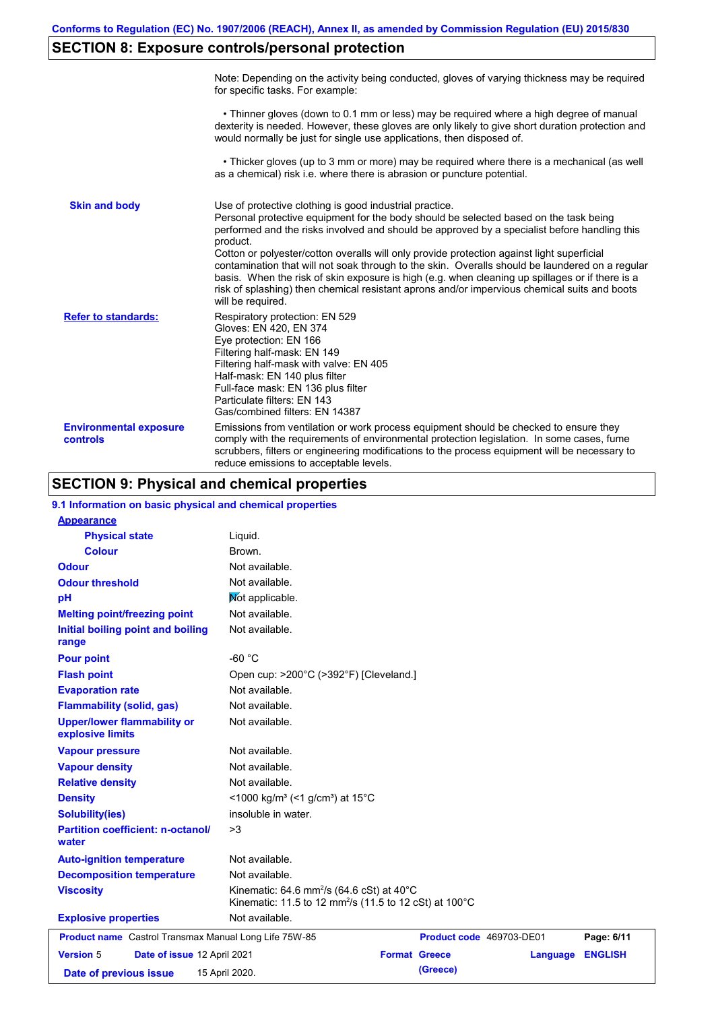# **SECTION 8: Exposure controls/personal protection**

|                                           | Note: Depending on the activity being conducted, gloves of varying thickness may be required<br>for specific tasks. For example:                                                                                                                                                                                                                                                                                                                                                                                                                                                                                                                                                      |
|-------------------------------------------|---------------------------------------------------------------------------------------------------------------------------------------------------------------------------------------------------------------------------------------------------------------------------------------------------------------------------------------------------------------------------------------------------------------------------------------------------------------------------------------------------------------------------------------------------------------------------------------------------------------------------------------------------------------------------------------|
|                                           | • Thinner gloves (down to 0.1 mm or less) may be required where a high degree of manual<br>dexterity is needed. However, these gloves are only likely to give short duration protection and<br>would normally be just for single use applications, then disposed of.                                                                                                                                                                                                                                                                                                                                                                                                                  |
|                                           | • Thicker gloves (up to 3 mm or more) may be required where there is a mechanical (as well<br>as a chemical) risk i.e. where there is abrasion or puncture potential.                                                                                                                                                                                                                                                                                                                                                                                                                                                                                                                 |
| <b>Skin and body</b>                      | Use of protective clothing is good industrial practice.<br>Personal protective equipment for the body should be selected based on the task being<br>performed and the risks involved and should be approved by a specialist before handling this<br>product.<br>Cotton or polyester/cotton overalls will only provide protection against light superficial<br>contamination that will not soak through to the skin. Overalls should be laundered on a regular<br>basis. When the risk of skin exposure is high (e.g. when cleaning up spillages or if there is a<br>risk of splashing) then chemical resistant aprons and/or impervious chemical suits and boots<br>will be required. |
| <b>Refer to standards:</b>                | Respiratory protection: EN 529<br>Gloves: EN 420, EN 374<br>Eye protection: EN 166<br>Filtering half-mask: EN 149<br>Filtering half-mask with valve: EN 405<br>Half-mask: EN 140 plus filter<br>Full-face mask: EN 136 plus filter<br>Particulate filters: EN 143<br>Gas/combined filters: EN 14387                                                                                                                                                                                                                                                                                                                                                                                   |
| <b>Environmental exposure</b><br>controls | Emissions from ventilation or work process equipment should be checked to ensure they<br>comply with the requirements of environmental protection legislation. In some cases, fume<br>scrubbers, filters or engineering modifications to the process equipment will be necessary to<br>reduce emissions to acceptable levels.                                                                                                                                                                                                                                                                                                                                                         |

# **SECTION 9: Physical and chemical properties**

| 9.1 Information on basic physical and chemical properties |                                                                                                                             |                      |                          |                |
|-----------------------------------------------------------|-----------------------------------------------------------------------------------------------------------------------------|----------------------|--------------------------|----------------|
| <b>Appearance</b>                                         |                                                                                                                             |                      |                          |                |
| <b>Physical state</b>                                     | Liquid.                                                                                                                     |                      |                          |                |
| <b>Colour</b>                                             | Brown.                                                                                                                      |                      |                          |                |
| <b>Odour</b>                                              | Not available.                                                                                                              |                      |                          |                |
| <b>Odour threshold</b>                                    | Not available.                                                                                                              |                      |                          |                |
| pH                                                        | Not applicable.                                                                                                             |                      |                          |                |
| <b>Melting point/freezing point</b>                       | Not available.                                                                                                              |                      |                          |                |
| Initial boiling point and boiling<br>range                | Not available.                                                                                                              |                      |                          |                |
| <b>Pour point</b>                                         | $-60 °C$                                                                                                                    |                      |                          |                |
| <b>Flash point</b>                                        | Open cup: >200°C (>392°F) [Cleveland.]                                                                                      |                      |                          |                |
| <b>Evaporation rate</b>                                   | Not available.                                                                                                              |                      |                          |                |
| <b>Flammability (solid, gas)</b>                          | Not available.                                                                                                              |                      |                          |                |
| <b>Upper/lower flammability or</b><br>explosive limits    | Not available.                                                                                                              |                      |                          |                |
| <b>Vapour pressure</b>                                    | Not available.                                                                                                              |                      |                          |                |
| <b>Vapour density</b>                                     | Not available.                                                                                                              |                      |                          |                |
| <b>Relative density</b>                                   | Not available.                                                                                                              |                      |                          |                |
| <b>Density</b>                                            | <1000 kg/m <sup>3</sup> (<1 g/cm <sup>3</sup> ) at 15 <sup>°</sup> C                                                        |                      |                          |                |
| <b>Solubility(ies)</b>                                    | insoluble in water.                                                                                                         |                      |                          |                |
| <b>Partition coefficient: n-octanol/</b><br>water         | >3                                                                                                                          |                      |                          |                |
| <b>Auto-ignition temperature</b>                          | Not available.                                                                                                              |                      |                          |                |
| <b>Decomposition temperature</b>                          | Not available.                                                                                                              |                      |                          |                |
| <b>Viscosity</b>                                          | Kinematic: 64.6 mm <sup>2</sup> /s (64.6 cSt) at 40°C<br>Kinematic: 11.5 to 12 mm <sup>2</sup> /s (11.5 to 12 cSt) at 100°C |                      |                          |                |
| <b>Explosive properties</b>                               | Not available.                                                                                                              |                      |                          |                |
| Product name Castrol Transmax Manual Long Life 75W-85     |                                                                                                                             |                      | Product code 469703-DE01 | Page: 6/11     |
| <b>Version 5</b><br>Date of issue 12 April 2021           |                                                                                                                             | <b>Format Greece</b> | Language                 | <b>ENGLISH</b> |
| Date of previous issue                                    | 15 April 2020.                                                                                                              | (Greece)             |                          |                |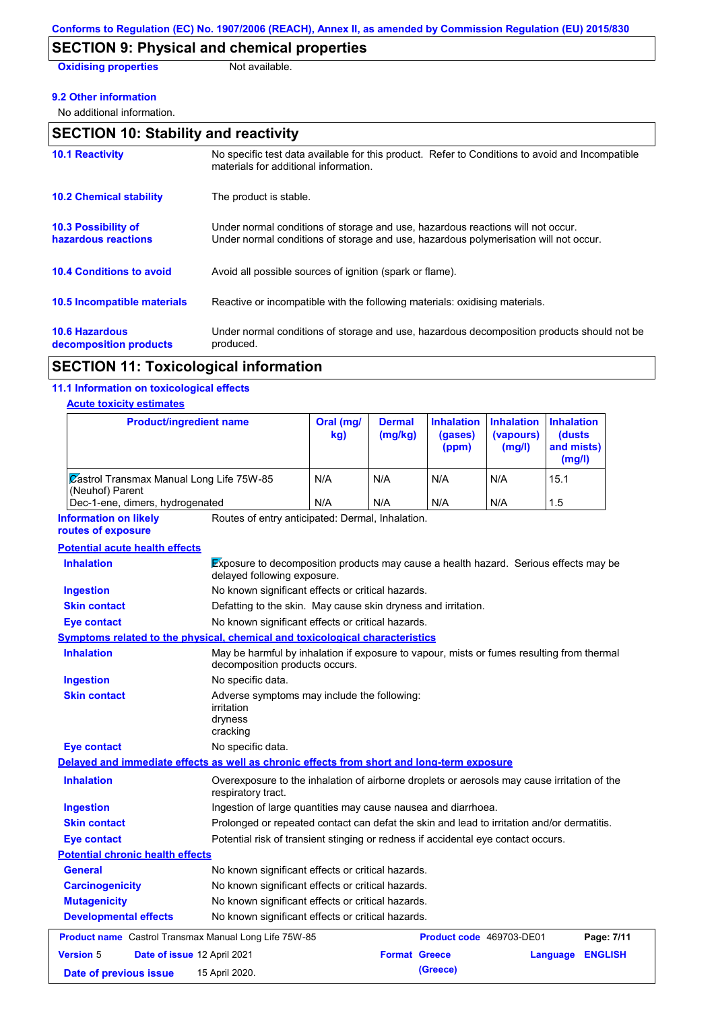## **SECTION 9: Physical and chemical properties**

**Oxidising properties** Not available.

#### **9.2 Other information**

No additional information.

| <b>SECTION 10: Stability and reactivity</b>       |                                                                                                                                                                         |  |
|---------------------------------------------------|-------------------------------------------------------------------------------------------------------------------------------------------------------------------------|--|
| <b>10.1 Reactivity</b>                            | No specific test data available for this product. Refer to Conditions to avoid and Incompatible<br>materials for additional information.                                |  |
| <b>10.2 Chemical stability</b>                    | The product is stable.                                                                                                                                                  |  |
| <b>10.3 Possibility of</b><br>hazardous reactions | Under normal conditions of storage and use, hazardous reactions will not occur.<br>Under normal conditions of storage and use, hazardous polymerisation will not occur. |  |
| <b>10.4 Conditions to avoid</b>                   | Avoid all possible sources of ignition (spark or flame).                                                                                                                |  |
| 10.5 Incompatible materials                       | Reactive or incompatible with the following materials: oxidising materials.                                                                                             |  |
| <b>10.6 Hazardous</b><br>decomposition products   | Under normal conditions of storage and use, hazardous decomposition products should not be<br>produced.                                                                 |  |

## **SECTION 11: Toxicological information**

### **11.1 Information on toxicological effects**

#### **Acute toxicity estimates**

| <b>Product/ingredient name</b>                                                             |                                                                                                                             | Oral (mg/<br>kg) | <b>Dermal</b><br>(mg/kg) | <b>Inhalation</b><br>(gases)<br>(ppm) | <b>Inhalation</b><br>(vapours)<br>(mg/l) | <b>Inhalation</b><br>(dusts<br>and mists)<br>(mg/l) |  |
|--------------------------------------------------------------------------------------------|-----------------------------------------------------------------------------------------------------------------------------|------------------|--------------------------|---------------------------------------|------------------------------------------|-----------------------------------------------------|--|
| Castrol Transmax Manual Long Life 75W-85<br>(Neuhof) Parent                                |                                                                                                                             | N/A              | N/A                      | N/A                                   | N/A                                      | 15.1                                                |  |
| Dec-1-ene, dimers, hydrogenated                                                            |                                                                                                                             | N/A              | N/A                      | N/A                                   | N/A                                      | 1.5                                                 |  |
| <b>Information on likely</b><br>routes of exposure                                         | Routes of entry anticipated: Dermal, Inhalation.                                                                            |                  |                          |                                       |                                          |                                                     |  |
| <b>Potential acute health effects</b>                                                      |                                                                                                                             |                  |                          |                                       |                                          |                                                     |  |
| <b>Inhalation</b>                                                                          | Exposure to decomposition products may cause a health hazard. Serious effects may be<br>delayed following exposure.         |                  |                          |                                       |                                          |                                                     |  |
| <b>Ingestion</b>                                                                           | No known significant effects or critical hazards.                                                                           |                  |                          |                                       |                                          |                                                     |  |
| <b>Skin contact</b>                                                                        | Defatting to the skin. May cause skin dryness and irritation.                                                               |                  |                          |                                       |                                          |                                                     |  |
| <b>Eye contact</b>                                                                         | No known significant effects or critical hazards.                                                                           |                  |                          |                                       |                                          |                                                     |  |
| Symptoms related to the physical, chemical and toxicological characteristics               |                                                                                                                             |                  |                          |                                       |                                          |                                                     |  |
| <b>Inhalation</b>                                                                          | May be harmful by inhalation if exposure to vapour, mists or fumes resulting from thermal<br>decomposition products occurs. |                  |                          |                                       |                                          |                                                     |  |
| <b>Ingestion</b>                                                                           | No specific data.                                                                                                           |                  |                          |                                       |                                          |                                                     |  |
| <b>Skin contact</b>                                                                        | Adverse symptoms may include the following:<br>irritation<br>dryness<br>cracking                                            |                  |                          |                                       |                                          |                                                     |  |
| <b>Eye contact</b>                                                                         | No specific data.                                                                                                           |                  |                          |                                       |                                          |                                                     |  |
| Delayed and immediate effects as well as chronic effects from short and long-term exposure |                                                                                                                             |                  |                          |                                       |                                          |                                                     |  |
| <b>Inhalation</b>                                                                          | Overexposure to the inhalation of airborne droplets or aerosols may cause irritation of the<br>respiratory tract.           |                  |                          |                                       |                                          |                                                     |  |
| <b>Ingestion</b>                                                                           | Ingestion of large quantities may cause nausea and diarrhoea.                                                               |                  |                          |                                       |                                          |                                                     |  |
| <b>Skin contact</b>                                                                        | Prolonged or repeated contact can defat the skin and lead to irritation and/or dermatitis.                                  |                  |                          |                                       |                                          |                                                     |  |
| <b>Eye contact</b>                                                                         | Potential risk of transient stinging or redness if accidental eye contact occurs.                                           |                  |                          |                                       |                                          |                                                     |  |
| <b>Potential chronic health effects</b>                                                    |                                                                                                                             |                  |                          |                                       |                                          |                                                     |  |
| General                                                                                    | No known significant effects or critical hazards.                                                                           |                  |                          |                                       |                                          |                                                     |  |
| <b>Carcinogenicity</b>                                                                     | No known significant effects or critical hazards.                                                                           |                  |                          |                                       |                                          |                                                     |  |
| <b>Mutagenicity</b>                                                                        | No known significant effects or critical hazards.                                                                           |                  |                          |                                       |                                          |                                                     |  |
| <b>Developmental effects</b>                                                               | No known significant effects or critical hazards.                                                                           |                  |                          |                                       |                                          |                                                     |  |
| <b>Product name</b> Castrol Transmax Manual Long Life 75W-85                               |                                                                                                                             |                  |                          | Product code 469703-DE01              |                                          | Page: 7/11                                          |  |
| <b>Version 5</b><br>Date of issue 12 April 2021                                            |                                                                                                                             |                  | <b>Format Greece</b>     |                                       |                                          | <b>ENGLISH</b><br>Language                          |  |
| Date of previous issue                                                                     | 15 April 2020.                                                                                                              |                  |                          | (Greece)                              |                                          |                                                     |  |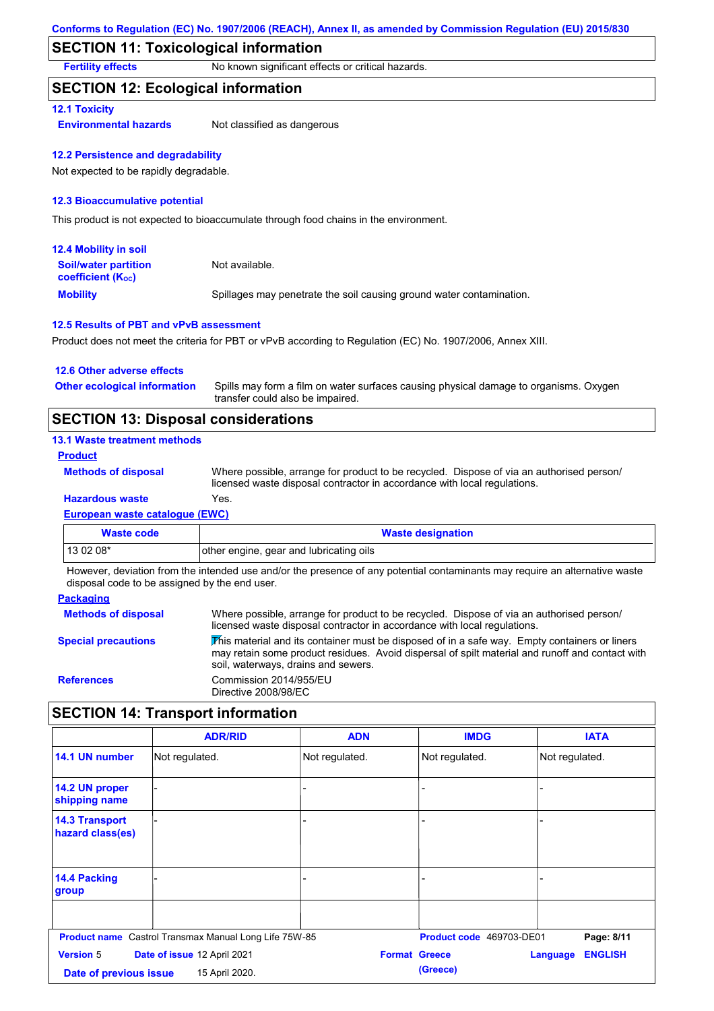## **SECTION 11: Toxicological information**

**Fertility effects** No known significant effects or critical hazards.

#### **SECTION 12: Ecological information**

#### **12.1 Toxicity**

**Environmental hazards** Not classified as dangerous

#### **12.2 Persistence and degradability**

Not expected to be rapidly degradable.

#### **12.3 Bioaccumulative potential**

This product is not expected to bioaccumulate through food chains in the environment.

| 12.4 Mobility in soil                                         |                                                                      |
|---------------------------------------------------------------|----------------------------------------------------------------------|
| <b>Soil/water partition</b><br>coefficient (K <sub>oc</sub> ) | Not available.                                                       |
| <b>Mobility</b>                                               | Spillages may penetrate the soil causing ground water contamination. |

#### **12.5 Results of PBT and vPvB assessment**

Product does not meet the criteria for PBT or vPvB according to Regulation (EC) No. 1907/2006, Annex XIII.

| 12.6 Other adverse effects          |                                                                                                                           |
|-------------------------------------|---------------------------------------------------------------------------------------------------------------------------|
| <b>Other ecological information</b> | Spills may form a film on water surfaces causing physical damage to organisms. Oxygen<br>transfer could also be impaired. |
|                                     |                                                                                                                           |

## **SECTION 13: Disposal considerations**

#### **13.1 Waste treatment methods**

**Product**

**Methods of disposal**

**Hazardous waste** Yes. Where possible, arrange for product to be recycled. Dispose of via an authorised person/ licensed waste disposal contractor in accordance with local regulations.

#### **European waste catalogue (EWC)**

| Waste code | <b>Waste designation</b>                |
|------------|-----------------------------------------|
| 13 02 08*  | other engine, gear and lubricating oils |

However, deviation from the intended use and/or the presence of any potential contaminants may require an alternative waste disposal code to be assigned by the end user.

#### **Packaging**

| <b>Methods of disposal</b> | Where possible, arrange for product to be recycled. Dispose of via an authorised person/<br>licensed waste disposal contractor in accordance with local regulations.                                                                    |
|----------------------------|-----------------------------------------------------------------------------------------------------------------------------------------------------------------------------------------------------------------------------------------|
| <b>Special precautions</b> | This material and its container must be disposed of in a safe way. Empty containers or liners<br>may retain some product residues. Avoid dispersal of spilt material and runoff and contact with<br>soil, waterways, drains and sewers. |
| <b>References</b>          | Commission 2014/955/EU<br>Directive 2008/98/EC                                                                                                                                                                                          |

### **SECTION 14: Transport information**

|                                            | <b>ADR/RID</b>                                               | <b>ADN</b>           | <b>IMDG</b>              | <b>IATA</b>                |
|--------------------------------------------|--------------------------------------------------------------|----------------------|--------------------------|----------------------------|
| 14.1 UN number                             | Not regulated.                                               | Not regulated.       | Not regulated.           | Not regulated.             |
| 14.2 UN proper<br>shipping name            |                                                              | ۳                    |                          |                            |
| <b>14.3 Transport</b><br>hazard class(es)  |                                                              | -                    |                          |                            |
| 14.4 Packing<br>group                      |                                                              |                      |                          |                            |
|                                            | <b>Product name</b> Castrol Transmax Manual Long Life 75W-85 |                      | Product code 469703-DE01 | Page: 8/11                 |
| <b>Version 5</b><br>Date of previous issue | Date of issue 12 April 2021<br>15 April 2020.                | <b>Format Greece</b> | (Greece)                 | <b>ENGLISH</b><br>Language |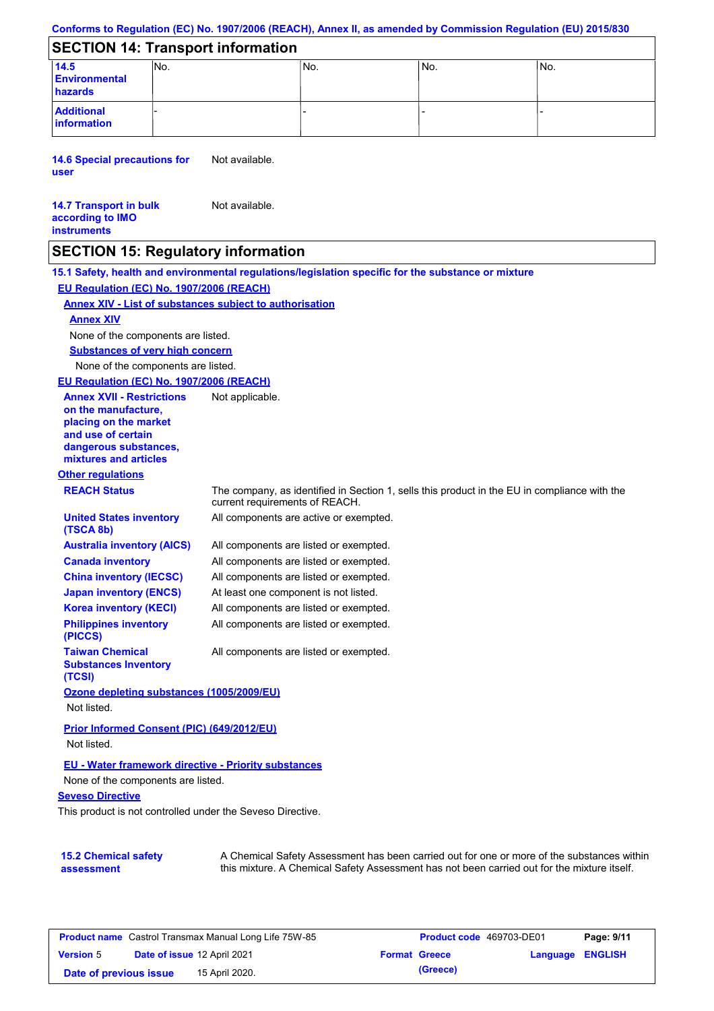#### **Conforms to Regulation (EC) No. 1907/2006 (REACH), Annex II, as amended by Commission Regulation (EU) 2015/830**

## **SECTION 14: Transport information**

| 14.5<br><b>Environmental</b><br>hazards | INO. | IN <sub>O</sub> | IN <sub>o</sub> | INo. |
|-----------------------------------------|------|-----------------|-----------------|------|
| <b>Additional</b><br>information        |      | -               |                 |      |

**14.6 Special precautions for user** Not available.

#### **14.7 Transport in bulk according to IMO instruments** Not available.

### **SECTION 15: Regulatory information**

**Other regulations REACH Status** The company, as identified in Section 1, sells this product in the EU in compliance with the current requirements of REACH. **15.1 Safety, health and environmental regulations/legislation specific for the substance or mixture EU Regulation (EC) No. 1907/2006 (REACH) Annex XIV - List of substances subject to authorisation Substances of very high concern** None of the components are listed. All components are listed or exempted. All components are listed or exempted. All components are listed or exempted. At least one component is not listed. All components are active or exempted. All components are listed or exempted. All components are listed or exempted. **United States inventory (TSCA 8b) Australia inventory (AICS) Canada inventory China inventory (IECSC) Japan inventory (ENCS) Korea inventory (KECI) Philippines inventory (PICCS) Taiwan Chemical Substances Inventory (TCSI)** All components are listed or exempted. **Ozone depleting substances (1005/2009/EU)** Not listed. **Prior Informed Consent (PIC) (649/2012/EU)** Not listed. None of the components are listed. **Annex XIV EU - Water framework directive - Priority substances** None of the components are listed. **EU Regulation (EC) No. 1907/2006 (REACH) Annex XVII - Restrictions on the manufacture, placing on the market and use of certain dangerous substances, mixtures and articles** Not applicable.

#### **Seveso Directive**

This product is not controlled under the Seveso Directive.

| <b>15.2 Chemical safety</b> | A Chemical Safety Assessment has been carried out for one or more of the substances within  |
|-----------------------------|---------------------------------------------------------------------------------------------|
| assessment                  | this mixture. A Chemical Safety Assessment has not been carried out for the mixture itself. |

| <b>Product name</b> Castrol Transmax Manual Long Life 75W-85 |  |                             | <b>Product code</b> 469703-DE01 | Page: 9/11           |                         |  |
|--------------------------------------------------------------|--|-----------------------------|---------------------------------|----------------------|-------------------------|--|
| <b>Version 5</b>                                             |  | Date of issue 12 April 2021 |                                 | <b>Format Greece</b> | <b>Language ENGLISH</b> |  |
| Date of previous issue                                       |  | 15 April 2020.              |                                 | (Greece)             |                         |  |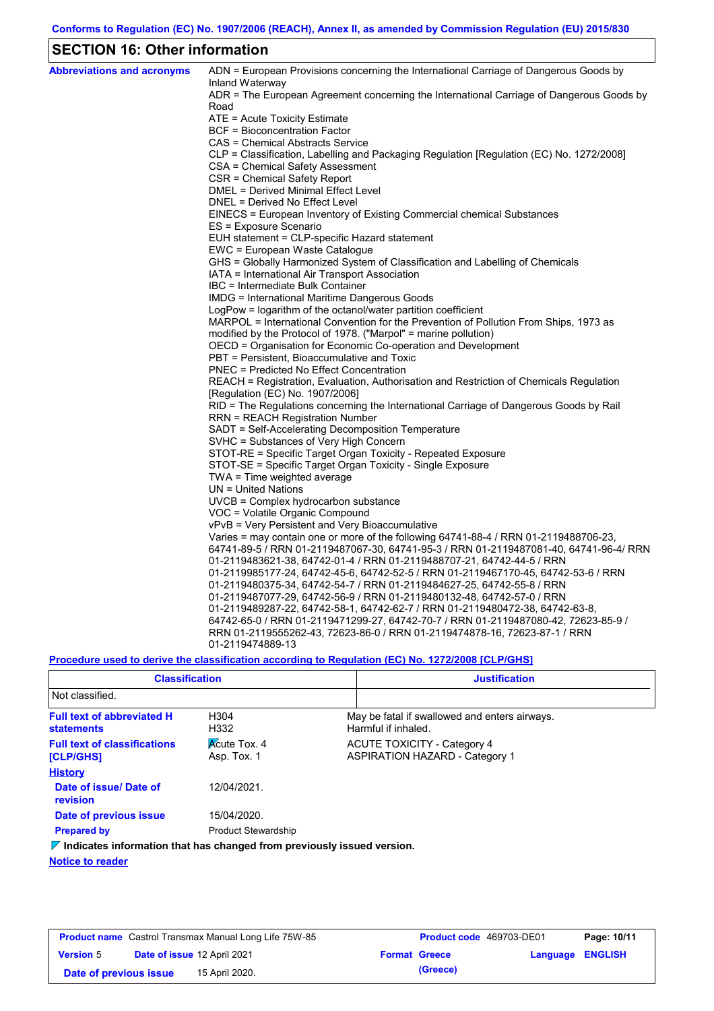## **SECTION 16: Other information**

| <b>Abbreviations and acronyms</b> | ADN = European Provisions concerning the International Carriage of Dangerous Goods by                                                                          |
|-----------------------------------|----------------------------------------------------------------------------------------------------------------------------------------------------------------|
|                                   | Inland Waterway<br>ADR = The European Agreement concerning the International Carriage of Dangerous Goods by                                                    |
|                                   | Road                                                                                                                                                           |
|                                   | ATE = Acute Toxicity Estimate                                                                                                                                  |
|                                   | BCF = Bioconcentration Factor                                                                                                                                  |
|                                   | CAS = Chemical Abstracts Service                                                                                                                               |
|                                   | CLP = Classification, Labelling and Packaging Regulation [Regulation (EC) No. 1272/2008]                                                                       |
|                                   | CSA = Chemical Safety Assessment                                                                                                                               |
|                                   | CSR = Chemical Safety Report                                                                                                                                   |
|                                   | DMEL = Derived Minimal Effect Level                                                                                                                            |
|                                   | DNEL = Derived No Effect Level                                                                                                                                 |
|                                   | EINECS = European Inventory of Existing Commercial chemical Substances                                                                                         |
|                                   | ES = Exposure Scenario                                                                                                                                         |
|                                   | EUH statement = CLP-specific Hazard statement                                                                                                                  |
|                                   | EWC = European Waste Catalogue                                                                                                                                 |
|                                   | GHS = Globally Harmonized System of Classification and Labelling of Chemicals                                                                                  |
|                                   | IATA = International Air Transport Association                                                                                                                 |
|                                   | IBC = Intermediate Bulk Container                                                                                                                              |
|                                   | IMDG = International Maritime Dangerous Goods                                                                                                                  |
|                                   | LogPow = logarithm of the octanol/water partition coefficient                                                                                                  |
|                                   | MARPOL = International Convention for the Prevention of Pollution From Ships, 1973 as                                                                          |
|                                   | modified by the Protocol of 1978. ("Marpol" = marine pollution)                                                                                                |
|                                   | OECD = Organisation for Economic Co-operation and Development                                                                                                  |
|                                   | PBT = Persistent, Bioaccumulative and Toxic                                                                                                                    |
|                                   | <b>PNEC = Predicted No Effect Concentration</b>                                                                                                                |
|                                   | REACH = Registration, Evaluation, Authorisation and Restriction of Chemicals Regulation                                                                        |
|                                   | [Regulation (EC) No. 1907/2006]                                                                                                                                |
|                                   | RID = The Regulations concerning the International Carriage of Dangerous Goods by Rail                                                                         |
|                                   | RRN = REACH Registration Number                                                                                                                                |
|                                   | SADT = Self-Accelerating Decomposition Temperature                                                                                                             |
|                                   | SVHC = Substances of Very High Concern                                                                                                                         |
|                                   | STOT-RE = Specific Target Organ Toxicity - Repeated Exposure                                                                                                   |
|                                   | STOT-SE = Specific Target Organ Toxicity - Single Exposure                                                                                                     |
|                                   | TWA = Time weighted average                                                                                                                                    |
|                                   | $UN = United Nations$                                                                                                                                          |
|                                   | UVCB = Complex hydrocarbon substance                                                                                                                           |
|                                   | VOC = Volatile Organic Compound                                                                                                                                |
|                                   | vPvB = Very Persistent and Very Bioaccumulative                                                                                                                |
|                                   | Varies = may contain one or more of the following $64741-88-4$ / RRN 01-2119488706-23,                                                                         |
|                                   | 64741-89-5 / RRN 01-2119487067-30, 64741-95-3 / RRN 01-2119487081-40, 64741-96-4/ RRN<br>01-2119483621-38, 64742-01-4 / RRN 01-2119488707-21, 64742-44-5 / RRN |
|                                   | 01-2119985177-24, 64742-45-6, 64742-52-5 / RRN 01-2119467170-45, 64742-53-6 / RRN                                                                              |
|                                   | 01-2119480375-34, 64742-54-7 / RRN 01-2119484627-25, 64742-55-8 / RRN                                                                                          |
|                                   | 01-2119487077-29, 64742-56-9 / RRN 01-2119480132-48, 64742-57-0 / RRN                                                                                          |
|                                   | 01-2119489287-22, 64742-58-1, 64742-62-7 / RRN 01-2119480472-38, 64742-63-8,                                                                                   |
|                                   | 64742-65-0 / RRN 01-2119471299-27, 64742-70-7 / RRN 01-2119487080-42, 72623-85-9 /                                                                             |
|                                   | RRN 01-2119555262-43, 72623-86-0 / RRN 01-2119474878-16, 72623-87-1 / RRN                                                                                      |
|                                   | 01-2119474889-13                                                                                                                                               |
|                                   |                                                                                                                                                                |

**Procedure used to derive the classification according to Regulation (EC) No. 1272/2008 [CLP/GHS]**

| <b>Classification</b>                                                           |                                    | <b>Justification</b>                                                        |
|---------------------------------------------------------------------------------|------------------------------------|-----------------------------------------------------------------------------|
| Not classified.                                                                 |                                    |                                                                             |
| <b>Full text of abbreviated H</b><br><b>statements</b>                          | H <sub>304</sub><br>H332           | May be fatal if swallowed and enters airways.<br>Harmful if inhaled.        |
| <b>Full text of classifications</b><br>[CLP/GHS]                                | <b>Acute Tox. 4</b><br>Asp. Tox. 1 | <b>ACUTE TOXICITY - Category 4</b><br><b>ASPIRATION HAZARD - Category 1</b> |
| <b>History</b>                                                                  |                                    |                                                                             |
| Date of issue/Date of<br>revision                                               | 12/04/2021.                        |                                                                             |
| Date of previous issue                                                          | 15/04/2020.                        |                                                                             |
| <b>Prepared by</b>                                                              | <b>Product Stewardship</b>         |                                                                             |
| $\nabla$ Indicates information that has changed from previously issued version. |                                    |                                                                             |

**Notice to reader**

| <b>Product name</b> Castrol Transmax Manual Long Life 75W-85 |  |                             | Product code 469703-DE01 |                      | Page: 10/11             |  |
|--------------------------------------------------------------|--|-----------------------------|--------------------------|----------------------|-------------------------|--|
| <b>Version 5</b>                                             |  | Date of issue 12 April 2021 |                          | <b>Format Greece</b> | <b>Language ENGLISH</b> |  |
| Date of previous issue                                       |  | 15 April 2020.              |                          | (Greece)             |                         |  |